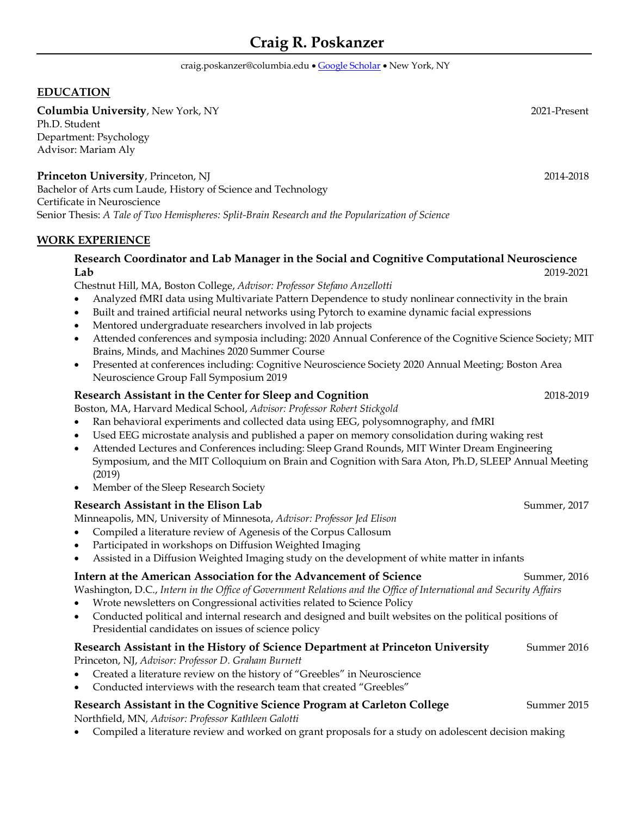# **Craig R. Poskanzer**

craig.poskanzer@columbia.edu • [Google Scholar](https://scholar.google.com/citations?user=Y6TIr5oAAAAJ&hl=en&oi=ao) • New York, NY

#### **EDUCATION**

**Columbia University**, New York, NY 2021-Present Ph.D. Student Department: Psychology Advisor: Mariam Aly

**Princeton University**, Princeton, NJ 2014-2018 Bachelor of Arts cum Laude, History of Science and Technology Certificate in Neuroscience Senior Thesis: *A Tale of Two Hemispheres: Split-Brain Research and the Popularization of Science*

#### **WORK EXPERIENCE**

# **Research Coordinator and Lab Manager in the Social and Cognitive Computational Neuroscience Lab** 2019-2021

Chestnut Hill, MA, Boston College, *Advisor: Professor Stefano Anzellotti*

- Analyzed fMRI data using Multivariate Pattern Dependence to study nonlinear connectivity in the brain
- Built and trained artificial neural networks using Pytorch to examine dynamic facial expressions
- Mentored undergraduate researchers involved in lab projects
- Attended conferences and symposia including: 2020 Annual Conference of the Cognitive Science Society; MIT Brains, Minds, and Machines 2020 Summer Course
- Presented at conferences including: Cognitive Neuroscience Society 2020 Annual Meeting; Boston Area Neuroscience Group Fall Symposium 2019

#### **Research Assistant in the Center for Sleep and Cognition** 2018-2019 2018-2019

Boston, MA, Harvard Medical School, *Advisor: Professor Robert Stickgold*

- Ran behavioral experiments and collected data using EEG, polysomnography, and fMRI
- Used EEG microstate analysis and published a paper on memory consolidation during waking rest
- Attended Lectures and Conferences including: Sleep Grand Rounds, MIT Winter Dream Engineering Symposium, and the MIT Colloquium on Brain and Cognition with Sara Aton, Ph.D, SLEEP Annual Meeting (2019)
- Member of the Sleep Research Society

#### **Research Assistant in the Elison Lab** Summer, 2017

Minneapolis, MN, University of Minnesota, *Advisor: Professor Jed Elison*

- Compiled a literature review of Agenesis of the Corpus Callosum
- Participated in workshops on Diffusion Weighted Imaging
- Assisted in a Diffusion Weighted Imaging study on the development of white matter in infants

# **Intern at the American Association for the Advancement of Science** Summer, 2016

Washington, D.C., *Intern in the Office of Government Relations and the Office of International and Security Affairs*

- Wrote newsletters on Congressional activities related to Science Policy
- Conducted political and internal research and designed and built websites on the political positions of Presidential candidates on issues of science policy

# **Research Assistant in the History of Science Department at Princeton University** Summer 2016

Princeton, NJ, *Advisor: Professor D. Graham Burnett*

- Created a literature review on the history of "Greebles" in Neuroscience
- Conducted interviews with the research team that created "Greebles"

# **Research Assistant in the Cognitive Science Program at Carleton College** Summer 2015

Northfield, MN*, Advisor: Professor Kathleen Galotti*

• Compiled a literature review and worked on grant proposals for a study on adolescent decision making